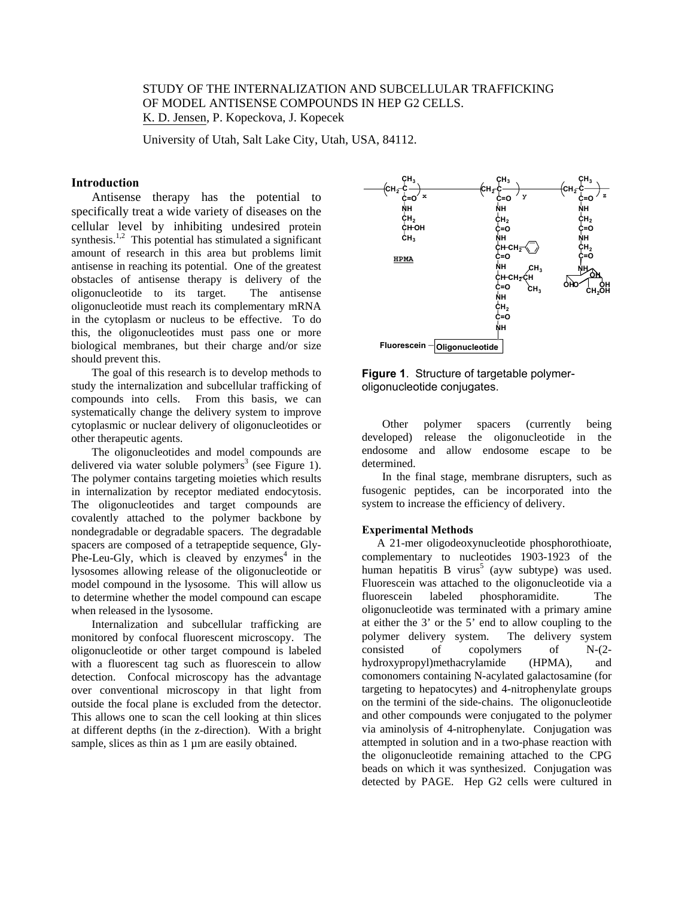# STUDY OF THE INTERNALIZATION AND SUBCELLULAR TRAFFICKING OF MODEL ANTISENSE COMPOUNDS IN HEP G2 CELLS. K. D. Jensen, P. Kopeckova, J. Kopecek

University of Utah, Salt Lake City, Utah, USA, 84112.

## **Introduction**

 Antisense therapy has the potential to specifically treat a wide variety of diseases on the cellular level by inhibiting undesired protein synthesis.<sup>1,2</sup> This potential has stimulated a significant amount of research in this area but problems limit antisense in reaching its potential. One of the greatest obstacles of antisense therapy is delivery of the oligonucleotide to its target. The antisense oligonucleotide must reach its complementary mRNA in the cytoplasm or nucleus to be effective. To do this, the oligonucleotides must pass one or more biological membranes, but their charge and/or size should prevent this.

 The goal of this research is to develop methods to study the internalization and subcellular trafficking of compounds into cells. From this basis, we can systematically change the delivery system to improve cytoplasmic or nuclear delivery of oligonucleotides or other therapeutic agents.

 The oligonucleotides and model compounds are delivered via water soluble polymers<sup>3</sup> (see Figure 1). The polymer contains targeting moieties which results in internalization by receptor mediated endocytosis. The oligonucleotides and target compounds are covalently attached to the polymer backbone by nondegradable or degradable spacers. The degradable spacers are composed of a tetrapeptide sequence, Gly-Phe-Leu-Gly, which is cleaved by  $enzymes<sup>4</sup>$  in the lysosomes allowing release of the oligonucleotide or model compound in the lysosome. This will allow us to determine whether the model compound can escape when released in the lysosome.

 Internalization and subcellular trafficking are monitored by confocal fluorescent microscopy. The oligonucleotide or other target compound is labeled with a fluorescent tag such as fluorescein to allow detection. Confocal microscopy has the advantage over conventional microscopy in that light from outside the focal plane is excluded from the detector. This allows one to scan the cell looking at thin slices at different depths (in the z-direction). With a bright sample, slices as thin as 1  $\mu$ m are easily obtained.



**Figure 1**. Structure of targetable polymeroligonucleotide conjugates.

 Other polymer spacers (currently being developed) release the oligonucleotide in the endosome and allow endosome escape to be determined.

 In the final stage, membrane disrupters, such as fusogenic peptides, can be incorporated into the system to increase the efficiency of delivery.

### **Experimental Methods**

 A 21-mer oligodeoxynucleotide phosphorothioate, complementary to nucleotides 1903-1923 of the human hepatitis B virus<sup>5</sup> (ayw subtype) was used. Fluorescein was attached to the oligonucleotide via a fluorescein labeled phosphoramidite. The oligonucleotide was terminated with a primary amine at either the 3' or the 5' end to allow coupling to the polymer delivery system. The delivery system consisted of copolymers of N-(2 hydroxypropyl)methacrylamide (HPMA), and comonomers containing N-acylated galactosamine (for targeting to hepatocytes) and 4-nitrophenylate groups on the termini of the side-chains. The oligonucleotide and other compounds were conjugated to the polymer via aminolysis of 4-nitrophenylate. Conjugation was attempted in solution and in a two-phase reaction with the oligonucleotide remaining attached to the CPG beads on which it was synthesized. Conjugation was detected by PAGE. Hep G2 cells were cultured in